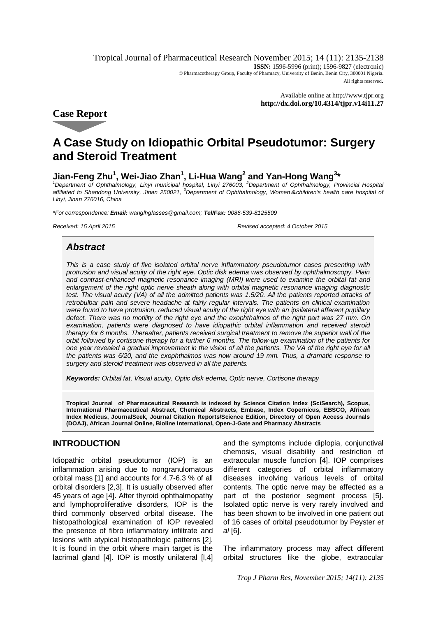Tropical Journal of Pharmaceutical Research November 2015; 14 (11): 2135-2138 **ISSN:** 1596-5996 (print); 1596-9827 (electronic) © Pharmacotherapy Group, Faculty of Pharmacy, University of Benin, Benin City, 300001 Nigeria. All rights reserved.

> Available online at <http://www.tjpr.org> **<http://dx.doi.org/10.4314/tjpr.v14i11.27>**

**Case Report**

# **A Case Study on Idiopathic Orbital Pseudotumor: Surgery and Steroid Treatment**

# **Jian-Feng Zhu<sup>1</sup> , Wei-Jiao Zhan<sup>1</sup> , Li-Hua Wang<sup>2</sup> and Yan-Hong Wang<sup>3</sup> \***

*<sup>1</sup>Department of Ophthalmology, Linyi municipal hospital, Linyi 276003, <sup>2</sup>Department of Ophthalmology, Provincial Hospital affiliated to Shandong University, Jinan 250021, <sup>3</sup>Department of Ophthalmology, Women&children's health care hospital of Linyi, Jinan 276016, China*

*\*For correspondence: Email: [wanglhglasses@gmail.com;](mailto:wanglhglasses@gmail.com;) Tel/Fax: 0086-539-8125509*

*Received: 15 April 2015 Revised accepted: 4 October 2015*

## *Abstract*

*This is a case study of five isolated orbital nerve inflammatory pseudotumor cases presenting with protrusion and visual acuity of the right eye. Optic disk edema was observed by ophthalmoscopy. Plain and contrast-enhanced magnetic resonance imaging (MRI) were used to examine the orbital fat and enlargement of the right optic nerve sheath along with orbital magnetic resonance imaging diagnostic*  test. The visual acuity (VA) of all the admitted patients was 1.5/20. All the patients reported attacks of *retrobulbar pain and severe headache at fairly regular intervals. The patients on clinical examination were found to have protrusion, reduced visual acuity of the right eye with an ipsilateral afferent pupillary*  defect. There was no motility of the right eye and the exophthalmos of the right part was 27 mm. On examination, patients were diagnosed to have idiopathic orbital inflammation and received steroid *therapy for 6 months. Thereafter, patients received surgical treatment to remove the superior wall of the orbit followed by cortisone therapy for a further 6 months. The follow-up examination of the patients for one year revealed a gradual improvement in the vision of all the patients. The VA of the right eye for all the patients was 6/20, and the exophthalmos was now around 19 mm. Thus, a dramatic response to surgery and steroid treatment was observed in all the patients.*

*Keywords: Orbital fat, Visual acuity, Optic disk edema, Optic nerve, Cortisone therapy*

**Tropical Journal of Pharmaceutical Research is indexed by Science Citation Index (SciSearch), Scopus, International Pharmaceutical Abstract, Chemical Abstracts, Embase, Index Copernicus, EBSCO, African Index Medicus, JournalSeek, Journal Citation Reports/Science Edition, Directory of Open Access Journals (DOAJ), African Journal Online, Bioline International, Open-J-Gate and Pharmacy Abstracts**

### **INTRODUCTION**

Idiopathic orbital pseudotumor (IOP) is an inflammation arising due to nongranulomatous orbital mass [1] and accounts for 4.7-6.3 % of all orbital disorders [2,3]. It is usually observed after 45 years of age [4]. After thyroid ophthalmopathy and lymphoproliferative disorders, IOP is the third commonly observed orbital disease. The histopathological examination of IOP revealed the presence of fibro inflammatory infiltrate and lesions with atypical histopathologic patterns [2]. It is found in the orbit where main target is the lacrimal gland [4]. IOP is mostly unilateral [I,4]

and the symptoms include diplopia, conjunctival chemosis, visual disability and restriction of extraocular muscle function [4]. IOP comprises different categories of orbital inflammatory diseases involving various levels of orbital contents. The optic nerve may be affected as a part of the posterior segment process [5]. Isolated optic nerve is very rarely involved and has been shown to be involved in one patient out of 16 cases of orbital pseudotumor by Peyster *et al* [6].

The inflammatory process may affect different orbital structures like the globe, extraocular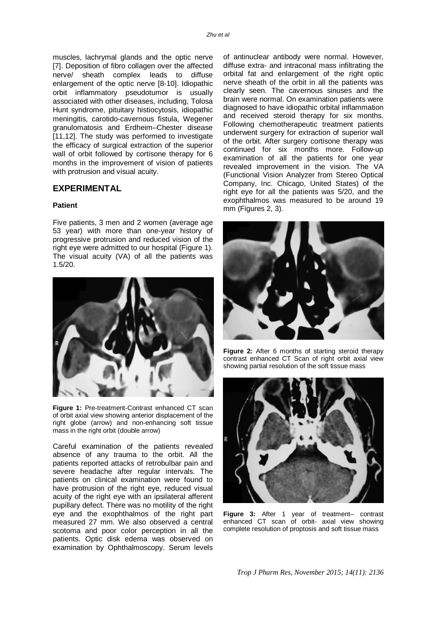muscles, lachrymal glands and the optic nerve [7]. Deposition of fibro collagen over the affected nerve/ sheath complex leads to diffuse enlargement of the optic nerve [8-10]. Idiopathic orbit inflammatory pseudotumor is usually associated with other diseases, including, Tolosa Hunt syndrome, pituitary histiocytosis, idiopathic meningitis, carotido-cavernous fistula, Wegener granulomatosis and Erdheim–Chester disease [11,12]. The study was performed to investigate the efficacy of surgical extraction of the superior wall of orbit followed by cortisone therapy for 6 months in the improvement of vision of patients with protrusion and visual acuity.

#### **EXPERIMENTAL**

#### **Patient**

Five patients, 3 men and 2 women (average age 53 year) with more than one-year history of progressive protrusion and reduced vision of the right eye were admitted to our hospital (Figure 1). The visual acuity (VA) of all the patients was 1.5/20.



**Figure 1:** Pre-treatment-Contrast enhanced CT scan of orbit axial view showing anterior displacement of the right globe (arrow) and non-enhancing soft tissue mass in the right orbit (double arrow)

Careful examination of the patients revealed absence of any trauma to the orbit. All the patients reported attacks of retrobulbar pain and severe headache after regular intervals. The patients on clinical examination were found to have protrusion of the right eye, reduced visual acuity of the right eye with an ipsilateral afferent pupillary defect. There was no motility of the right eye and the exophthalmos of the right part measured 27 mm. We also observed a central scotoma and poor color perception in all the patients. Optic disk edema was observed on examination by Ophthalmoscopy. Serum levels

of antinuclear antibody were normal. However, diffuse extra- and intraconal mass infiltrating the orbital fat and enlargement of the right optic nerve sheath of the orbit in all the patients was clearly seen. The cavernous sinuses and the brain were normal. On examination patients were diagnosed to have idiopathic orbital inflammation and received steroid therapy for six months. Following chemotherapeutic treatment patients underwent surgery for extraction of superior wall of the orbit. After surgery cortisone therapy was continued for six months more. Follow-up examination of all the patients for one year revealed improvement in the vision. The VA (Functional Vision Analyzer from Stereo Optical Company, Inc. Chicago, United States) of the right eye for all the patients was 5/20, and the exophthalmos was measured to be around 19 mm (Figures 2, 3).



**Figure 2:** After 6 months of starting steroid therapy contrast enhanced CT Scan of right orbit axial view showing partial resolution of the soft tissue mass



**Figure 3:** After 1 year of treatment– contrast enhanced CT scan of orbit- axial view showing complete resolution of proptosis and soft tissue mass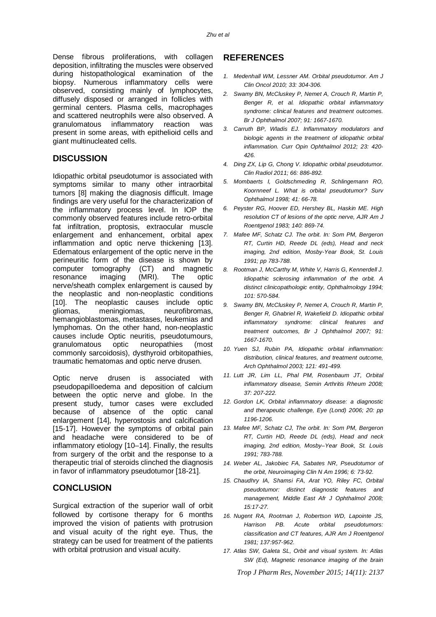Dense fibrous proliferations, with collagen deposition, infiltrating the muscles were observed during histopathological examination of the biopsy. Numerous inflammatory cells were observed, consisting mainly of lymphocytes, diffusely disposed or arranged in follicles with germinal centers. Plasma cells, macrophages and scattered neutrophils were also observed. A granulomatous inflammatory reaction was present in some areas, with epithelioid cells and giant multinucleated cells.

#### **DISCUSSION**

Idiopathic orbital pseudotumor is associated with symptoms similar to many other intraorbital tumors [8] making the diagnosis difficult. Image findings are very useful for the characterization of the inflammatory process level. In IOP the commonly observed features include retro-orbital fat infiltration, proptosis, extraocular muscle enlargement and enhancement, orbital apex inflammation and optic nerve thickening [13]. Edematous enlargement of the optic nerve in the perineuritic form of the disease is shown by computer tomography (CT) and magnetic resonance imaging (MRI). The optic nerve/sheath complex enlargement is caused by the neoplastic and non-neoplastic conditions [10]. The neoplastic causes include optic<br>gliomas, meningiomas, neurofibromas. meningiomas, neurofibromas, hemangioblastomas, metastases, leukemias and lymphomas. On the other hand, non-neoplastic causes include Optic neuritis, pseudotumours, granulomatous optic neuropathies (most commonly sarcoidosis), dysthyroid orbitopathies, traumatic hematomas and optic nerve drusen.

Optic nerve drusen is associated with pseudopapilloedema and deposition of calcium between the optic nerve and globe. In the present study, tumor cases were excluded because of absence of the optic canal enlargement [14], hyperostosis and calcification [15-17]. However the symptoms of orbital pain and headache were considered to be of inflammatory etiology [10–14]. Finally, the results from surgery of the orbit and the response to a therapeutic trial of steroids clinched the diagnosis in favor of inflammatory pseudotumor [18-21].

#### **CONCLUSION**

Surgical extraction of the superior wall of orbit followed by cortisone therapy for 6 months improved the vision of patients with protrusion and visual acuity of the right eye. Thus, the strategy can be used for treatment of the patients with orbital protrusion and visual acuity.

#### **REFERENCES**

- *1. Medenhall WM, Lessner AM. Orbital pseudotumor. Am J Clin Oncol 2010; 33: 304-306.*
- *2. Swamy BN, McCluskey P, Nemet A, Crouch R, Martin P, Benger R, et al. Idiopathic orbital inflammatory syndrome: clinical features and treatment outcomes. Br J Ophthalmol 2007; 91: 1667-1670.*
- *3. Carruth BP, Wladis EJ. Inflammatory modulators and biologic agents in the treatment of idiopathic orbital inflammation. Curr Opin Ophthalmol 2012; 23: 420- 426.*
- *4. Ding ZX, Lip G, Chong V. Idiopathic orbital pseudotumor. Clin Radiol 2011; 66: 886-892.*
- *5. Mombaerts I, Goldschmeding R, Schlingemann RO, Koornneef L. What is orbital pseudotumor? Surv Ophthalmol 1998; 41: 66-78.*
- *6. Peyster RG, Hoover ED, Hershey BL, Haskin ME. High resolution CT of lesions of the optic nerve, AJR Am J Roentgenol 1983; 140: 869-74.*
- *7. Mafee MF, Schatz CJ. The orbit. In: Som PM, Bergeron RT, Curtin HD, Reede DL (eds), Head and neck imaging, 2nd edition, Mosby-Year Book, St. Louis 1991; pp 783-788.*
- *8. Rootman J, McCarthy M, White V, Harris G, Kennerdell J. Idiopathic sclerosing inflammation of the orbit. A distinct clinicopathologic entity, Ophthalmology 1994; 101: 570-584.*
- *9. Swamy BN, McCluskey P, Nemet A, Crouch R, Martin P, Benger R, Ghabriel R, Wakefield D. Idiopathic orbital inflammatory syndrome: clinical features and treatment outcomes, Br J Ophthalmol 2007; 91: 1667-1670.*
- *10. Yuen SJ, Rubin PA, Idiopathic orbital inflammation: distribution, clinical features, and treatment outcome, Arch Ophthalmol 2003; 121: 491-499.*
- *11. Lutt JR, Lim LL, Phal PM, Rosenbaum JT, Orbital inflammatory disease, Semin Arthritis Rheum 2008; 37: 207-222.*
- *12. Gordon LK, Orbital inflammatory disease: a diagnostic and therapeutic challenge, Eye (Lond) 2006; 20: pp 1196-1206.*
- *13. Mafee MF, Schatz CJ, The orbit. In: Som PM, Bergeron RT, Curtin HD, Reede DL (eds), Head and neck imaging, 2nd edition, Mosby–Year Book, St. Louis 1991; 783-788.*
- *14. Weber AL, Jakobiec FA, Sabates NR, Pseudotumor of the orbit, Neuroimaging Clin N Am 1996; 6: 73-92.*
- *15. Chaudhry IA, Shamsi FA, Arat YO, Riley FC, Orbital pseudotumor: distinct diagnostic features and management, Middle East Afr J Ophthalmol 2008; 15:17-27.*
- *16. Nugent RA, Rootman J, Robertson WD, Lapointe JS, Harrison PB. Acute orbital pseudotumors: classification and CT features, AJR Am J Roentgenol 1981; 137:957-962.*
- *17. Atlas SW, Galeta SL, Orbit and visual system. In: Atlas SW (Ed), Magnetic resonance imaging of the brain*

*Trop J Pharm Res, November 2015; 14(11): 2137*